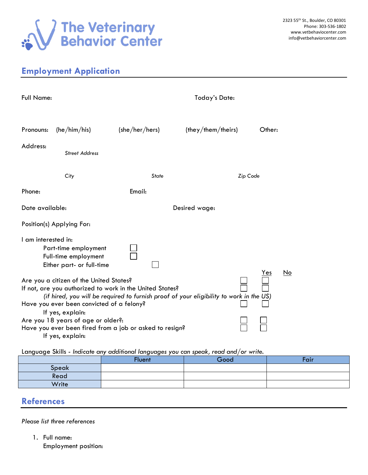

## **Employment Application**

| <b>Full Name:</b>                                                                                                                                                                                                                                                                                                                                                                                        |                       | <b>Today's Date:</b> |                   |        |  |  |
|----------------------------------------------------------------------------------------------------------------------------------------------------------------------------------------------------------------------------------------------------------------------------------------------------------------------------------------------------------------------------------------------------------|-----------------------|----------------------|-------------------|--------|--|--|
| Pronouns:                                                                                                                                                                                                                                                                                                                                                                                                | (he/him/his)          | (she/her/hers)       | (they/them/their) | Other: |  |  |
| Address:                                                                                                                                                                                                                                                                                                                                                                                                 | <b>Street Address</b> |                      |                   |        |  |  |
|                                                                                                                                                                                                                                                                                                                                                                                                          | City                  | <b>State</b>         | Zip Code          |        |  |  |
| Phone:                                                                                                                                                                                                                                                                                                                                                                                                   |                       | Email:               |                   |        |  |  |
| Date available:                                                                                                                                                                                                                                                                                                                                                                                          |                       | Desired wage:        |                   |        |  |  |
| Position(s) Applying For:                                                                                                                                                                                                                                                                                                                                                                                |                       |                      |                   |        |  |  |
| I am interested in:<br>Part-time employment<br>Full-time employment<br>Either part- or full-time                                                                                                                                                                                                                                                                                                         |                       |                      |                   |        |  |  |
| <u>No</u><br>Yes<br>Are you a citizen of the United States?<br>If not, are you authorized to work in the United States?<br>(if hired, you will be required to furnish proof of your eligibility to work in the US)<br>Have you ever been convicted of a felony?<br>If yes, explain:<br>Are you 18 years of age or older?:<br>Have you ever been fired from a job or asked to resign?<br>If yes, explain: |                       |                      |                   |        |  |  |

Language Skills - *Indicate any additional languages you can speak, read and/or write.*

| __    | __<br>Fluent | Good | Fair |
|-------|--------------|------|------|
| Speak |              |      |      |
| Read  |              |      |      |
| Write |              |      |      |

## **References**

*Please list three references*

1. Full name: Employment position: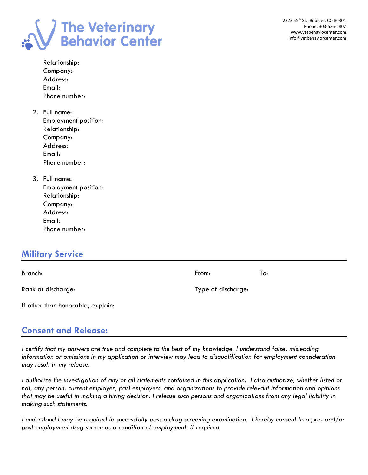

| Relationship: |
|---------------|
| Company:      |
| Address:      |
| Email:        |
| Phone number: |

- 2. Full name: Employment position: Relationship: Company: Address: Email: Phone number:
- 3. Full name: Employment position: Relationship: Company: Address: Email: Phone number:

## **Military Service**

| Branch:                           | From:              | To: |
|-----------------------------------|--------------------|-----|
| Rank at discharge:                | Type of discharge: |     |
| If other than honorable, explain: |                    |     |

## **Consent and Release:**

*I certify that my answers are true and complete to the best of my knowledge. I understand false, misleading information or omissions in my application or interview may lead to disqualification for employment consideration may result in my release.* 

*I authorize the investigation of any or all statements contained in this application. I also authorize, whether listed or not, any person, current employer, past employers, and organizations to provide relevant information and opinions that may be useful in making a hiring decision. I release such persons and organizations from any legal liability in making such statements.*

*I understand I may be required to successfully pass a drug screening examination. I hereby consent to a pre- and/or post-employment drug screen as a condition of employment, if required.*